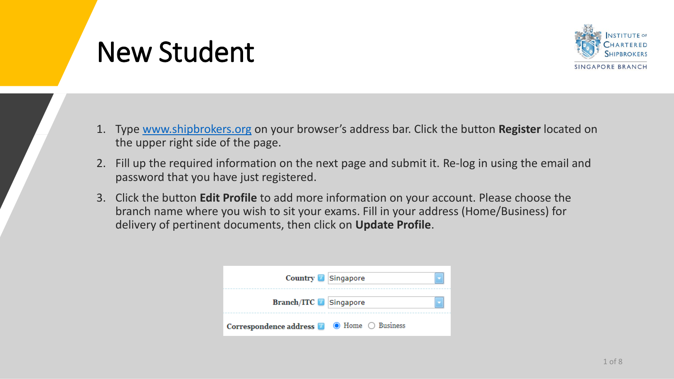### New Student



- 1. Type [www.shipbrokers.org](http://www.shipbrokers.org/) on your browser's address bar. Click the button **Register** located on the upper right side of the page.
- 2. Fill up the required information on the next page and submit it. Re-log in using the email and password that you have just registered.
- 3. Click the button **Edit Profile** to add more information on your account. Please choose the branch name where you wish to sit your exams. Fill in your address (Home/Business) for delivery of pertinent documents, then click on **Update Profile**.

| Country <b>B</b> Singapore                                                    |  |
|-------------------------------------------------------------------------------|--|
| <b>Branch/ITC</b> Singapore                                                   |  |
| Correspondence address $\blacksquare$ $\blacksquare$ Home $\bigcirc$ Business |  |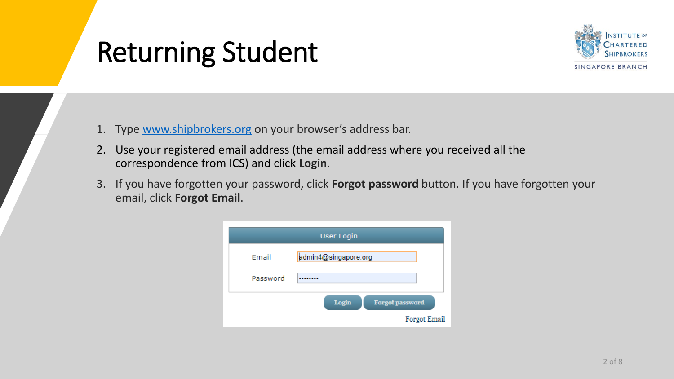### Returning Student



- 1. Type [www.shipbrokers.org](http://www.shipbrokers.org/) on your browser's address bar.
- 2. Use your registered email address (the email address where you received all the correspondence from ICS) and click **Login**.
- 3. If you have forgotten your password, click **Forgot password** button. If you have forgotten your email, click **Forgot Email**.

|          | <b>User Login</b>               |
|----------|---------------------------------|
| Email    | admin4@singapore.org            |
| Password | ********                        |
|          | Login<br><b>Forgot password</b> |
|          | <b>Forgot Email</b>             |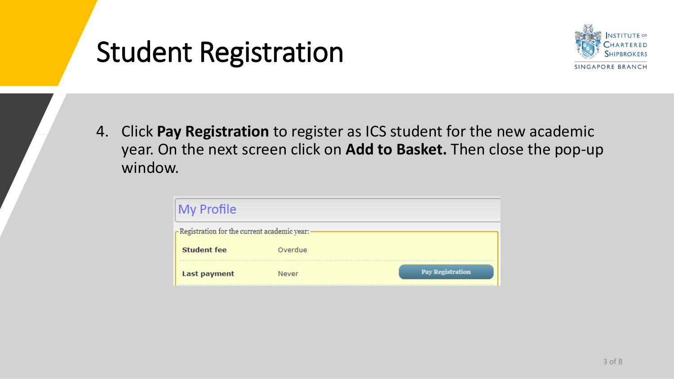### Student Registration



4. Click **Pay Registration** to register as ICS student for the new academic year. On the next screen click on **Add to Basket.** Then close the pop-up window.

| $\mathsf{My}$ Profile                         |         |                         |
|-----------------------------------------------|---------|-------------------------|
| -Registration for the current academic year:- |         |                         |
| <b>Student fee</b>                            | Overdue |                         |
| <b>Last payment</b>                           | Never   | <b>Pay Registration</b> |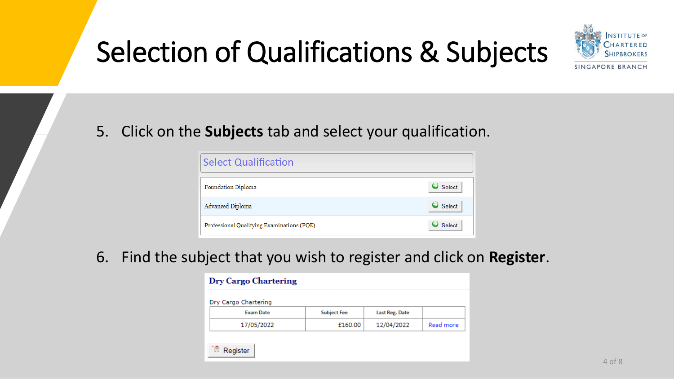# Selection of Qualifications & Subjects



#### 5. Click on the **Subjects** tab and select your qualification.

| <b>Select Qualification</b>                |                       |
|--------------------------------------------|-----------------------|
| Foundation Diploma                         | Select-               |
| Advanced Diploma                           | $\blacksquare$ Select |
| Professional Qualifying Examinations (PQE) | Select                |

#### 6. Find the subject that you wish to register and click on **Register**.

| <b>Dry Cargo Chartering</b> |                    |                |           |
|-----------------------------|--------------------|----------------|-----------|
| Dry Cargo Chartering        |                    |                |           |
| <b>Exam Date</b>            | <b>Subject Fee</b> | Last Reg. Date |           |
| 17/05/2022                  | £160.00            | 12/04/2022     | Read more |
|                             |                    |                |           |
| Register                    |                    |                |           |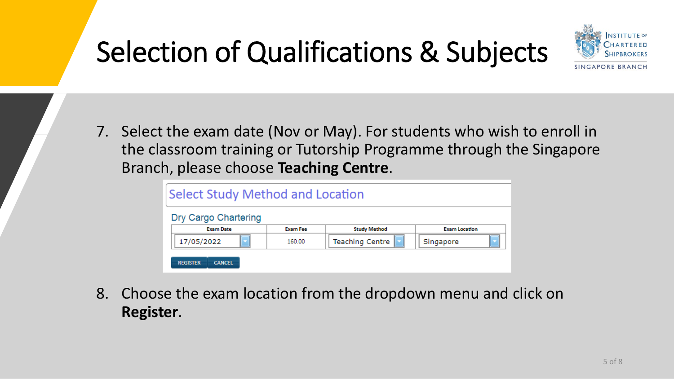# Selection of Qualifications & Subjects



7. Select the exam date (Nov or May). For students who wish to enroll in the classroom training or Tutorship Programme through the Singapore Branch, please choose **Teaching Centre**.

| Select Study Method and Location<br>Dry Cargo Chartering |                 |                        |                      |
|----------------------------------------------------------|-----------------|------------------------|----------------------|
| <b>Exam Date</b>                                         | <b>Exam Fee</b> | <b>Study Method</b>    | <b>Exam Location</b> |
| 17/05/2022                                               | 160.00          | <b>Teaching Centre</b> | Singapore            |
| <b>REGISTER</b><br><b>CANCEL</b>                         |                 |                        |                      |

8. Choose the exam location from the dropdown menu and click on **Register**.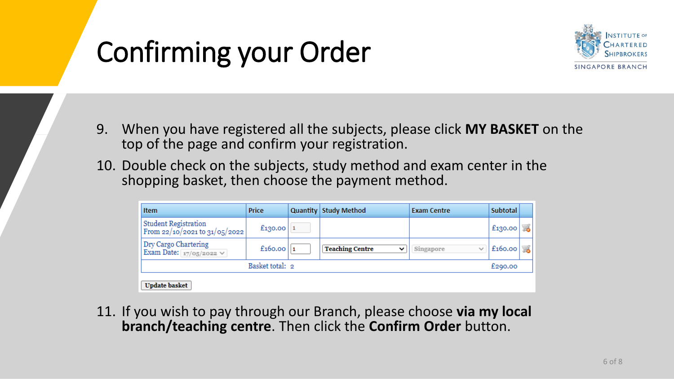## Confirming your Order



- 9. When you have registered all the subjects, please click **MY BASKET** on the top of the page and confirm your registration.
- 10. Double check on the subjects, study method and exam center in the shopping basket, then choose the payment method.

| <b>Item</b>                                                      | <b>Price</b>    | <b>Quantity Study Method</b>          | <b>Exam Centre</b>        | <b>Subtotal</b> |    |
|------------------------------------------------------------------|-----------------|---------------------------------------|---------------------------|-----------------|----|
| <b>Student Registration</b><br>From $22/10/2021$ to $31/05/2022$ | £130.00         |                                       |                           | £130.00         | t. |
| Dry Cargo Chartering<br>Exam Date: $\frac{17}{05}$ 2022 $\vee$   | £160.00         | <b>Teaching Centre</b><br>$\check{ }$ | Singapore<br>$\checkmark$ | £160.00         | T. |
|                                                                  | Basket total: 2 |                                       |                           | £290.00         |    |
| <b>Update basket</b>                                             |                 |                                       |                           |                 |    |

11. If you wish to pay through our Branch, please choose **via my local branch/teaching centre**. Then click the **Confirm Order** button.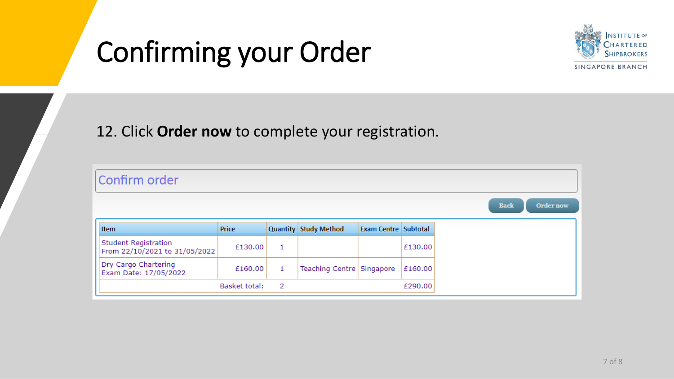## Confirming your Order



#### 12. Click **Order now** to complete your registration.

| Confirm order                                                |                      |   |                           |                      |         |
|--------------------------------------------------------------|----------------------|---|---------------------------|----------------------|---------|
|                                                              |                      |   |                           |                      |         |
| <b>Item</b>                                                  | Price                |   | Quantity Study Method     | Exam Centre Subtotal |         |
| <b>Student Registration</b><br>From 22/10/2021 to 31/05/2022 | £130.00              | 1 |                           |                      | £130.00 |
| Dry Cargo Chartering<br>Exam Date: 17/05/2022                | £160.00              | 1 | Teaching Centre Singapore |                      | £160.00 |
|                                                              | <b>Basket total:</b> | 2 |                           |                      | £290.00 |